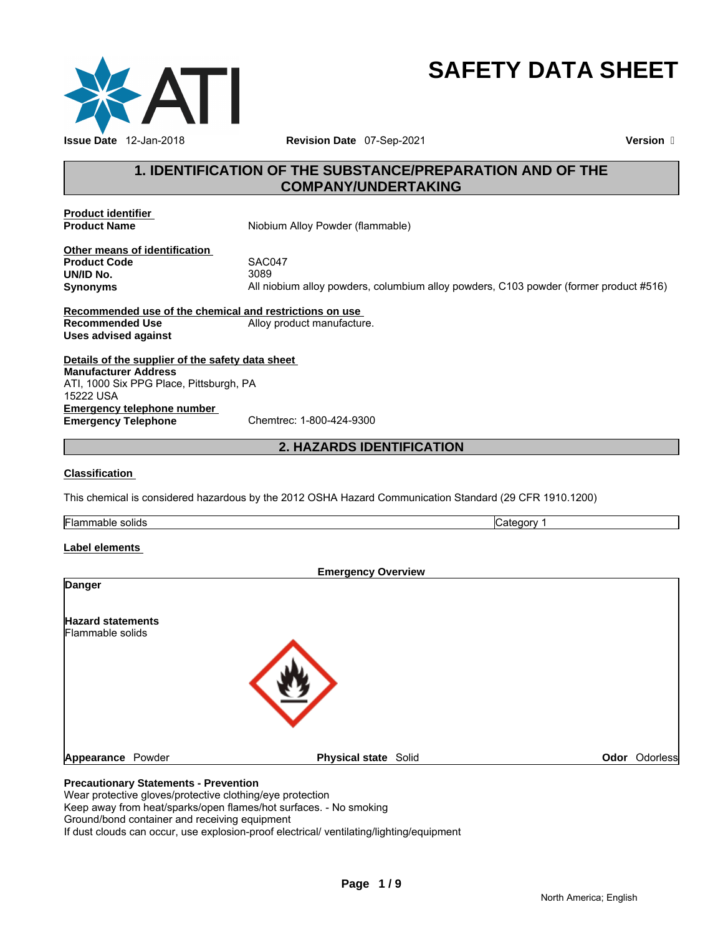

# **SAFETY DATA SHEET**

# **1. IDENTIFICATION OF THE SUBSTANCE/PREPARATION AND OF THE COMPANY/UNDERTAKING**

**Product identifier** 

**Niobium Alloy Powder (flammable)** 

**Other means of identification Product Code** SAC047 **UN/ID No.** 

**Synonyms** All niobium alloy powders, columbium alloy powders, C103 powder (former product #516)

**Recommended use of the chemical and restrictions on use Recommended Use** Alloy product manufacture. **Uses advised against** 

**Details of the supplier of the safety data sheet Emergency telephone number<br>
Emergency Telephone**<br>
Chemtrec: 1-800-424-9300 **Emergency Telephone Manufacturer Address** ATI, 1000 Six PPG Place, Pittsburgh, PA 15222 USA

**2. HAZARDS IDENTIFICATION** 

## **Classification**

This chemical is considered hazardous by the 2012 OSHA Hazard Communication Standard (29 CFR 1910.1200)

**Flammable solids** Category 1

#### **Label elements**

| <b>Danger</b>                                | <b>Emergency Overview</b>   |               |
|----------------------------------------------|-----------------------------|---------------|
| <b>Hazard statements</b><br>Flammable solids |                             |               |
|                                              |                             |               |
| Appearance Powder                            | <b>Physical state Solid</b> | Odor Odorless |

Wear protective gloves/protective clothing/eye protection

Keep away from heat/sparks/open flames/hot surfaces. - No smoking

Ground/bond container and receiving equipment

If dust clouds can occur, use explosion-proof electrical/ ventilating/lighting/equipment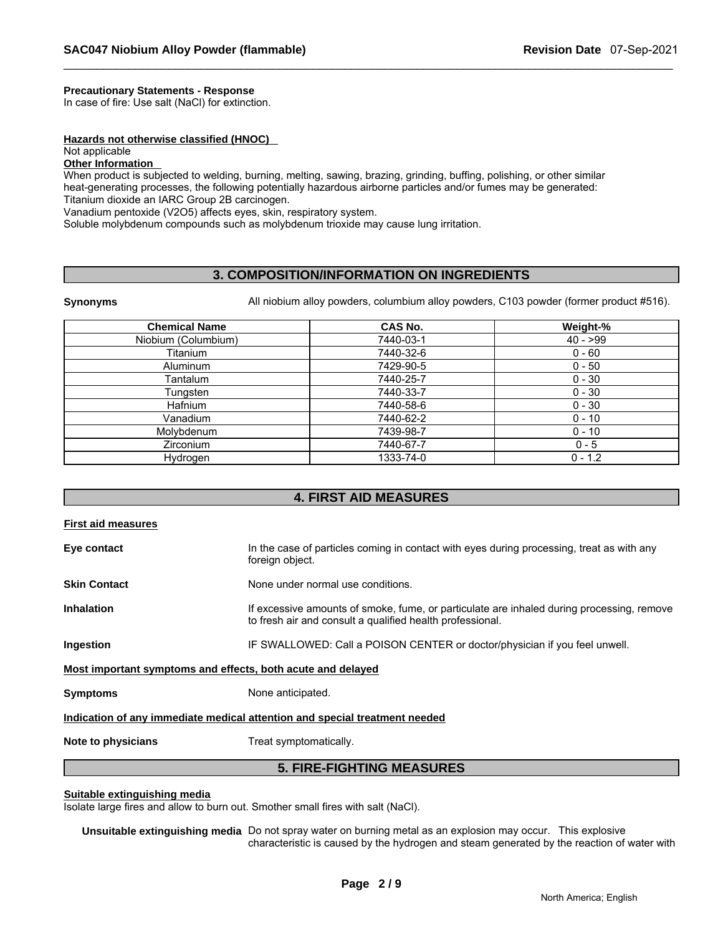# **Precautionary Statements - Response**

In case of fire: Use salt (NaCl) for extinction.

#### **Hazards not otherwise classified (HNOC)**

# Not applicable

# **Other Information**

When product is subjected to welding, burning, melting, sawing, brazing, grinding, buffing, polishing, or other similar heat-generating processes, the following potentially hazardous airborne particles and/or fumes may be generated: Titanium dioxide an IARC Group 2B carcinogen.

Vanadium pentoxide (V2O5) affects eyes, skin, respiratory system.

Soluble molybdenum compounds such as molybdenum trioxide may cause lung irritation.

# **3. COMPOSITION/INFORMATION ON INGREDIENTS**

**Synonyms** All niobium alloy powders, columbium alloy powders, C103 powder (former product #516).

| <b>Chemical Name</b> | <b>CAS No.</b> | Weight-%  |
|----------------------|----------------|-----------|
| Niobium (Columbium)  | 7440-03-1      | $40 - 99$ |
| Titanium             | 7440-32-6      | $0 - 60$  |
| <b>Aluminum</b>      | 7429-90-5      | $0 - 50$  |
| Tantalum             | 7440-25-7      | $0 - 30$  |
| Tungsten             | 7440-33-7      | $0 - 30$  |
| <b>Hafnium</b>       | 7440-58-6      | $0 - 30$  |
| Vanadium             | 7440-62-2      | $0 - 10$  |
| Molybdenum           | 7439-98-7      | $0 - 10$  |
| <b>Zirconium</b>     | 7440-67-7      | $0 - 5$   |
| Hydrogen             | 1333-74-0      | $0 - 1.2$ |

# **4. FIRST AID MEASURES**

| <b>First aid measures</b>                                   |                                                                                                                                                        |  |  |
|-------------------------------------------------------------|--------------------------------------------------------------------------------------------------------------------------------------------------------|--|--|
| Eye contact                                                 | In the case of particles coming in contact with eyes during processing, treat as with any<br>foreign object.                                           |  |  |
| <b>Skin Contact</b>                                         | None under normal use conditions.                                                                                                                      |  |  |
| <b>Inhalation</b>                                           | If excessive amounts of smoke, fume, or particulate are inhaled during processing, remove<br>to fresh air and consult a qualified health professional. |  |  |
| Ingestion                                                   | IF SWALLOWED: Call a POISON CENTER or doctor/physician if you feel unwell.                                                                             |  |  |
| Most important symptoms and effects, both acute and delayed |                                                                                                                                                        |  |  |
| <b>Symptoms</b>                                             | None anticipated.                                                                                                                                      |  |  |
|                                                             | Indication of any immediate medical attention and special treatment needed                                                                             |  |  |
| Note to physicians                                          | Treat symptomatically.                                                                                                                                 |  |  |
| <b>5. FIRE-FIGHTING MEASURES</b>                            |                                                                                                                                                        |  |  |

#### **Suitable extinguishing media**

Isolate large fires and allow to burn out. Smother small fires with salt (NaCl).

**Unsuitable extinguishing media** Do not spray water on burning metal as an explosion may occur. This explosive characteristic is caused by the hydrogen and steam generated by the reaction of water with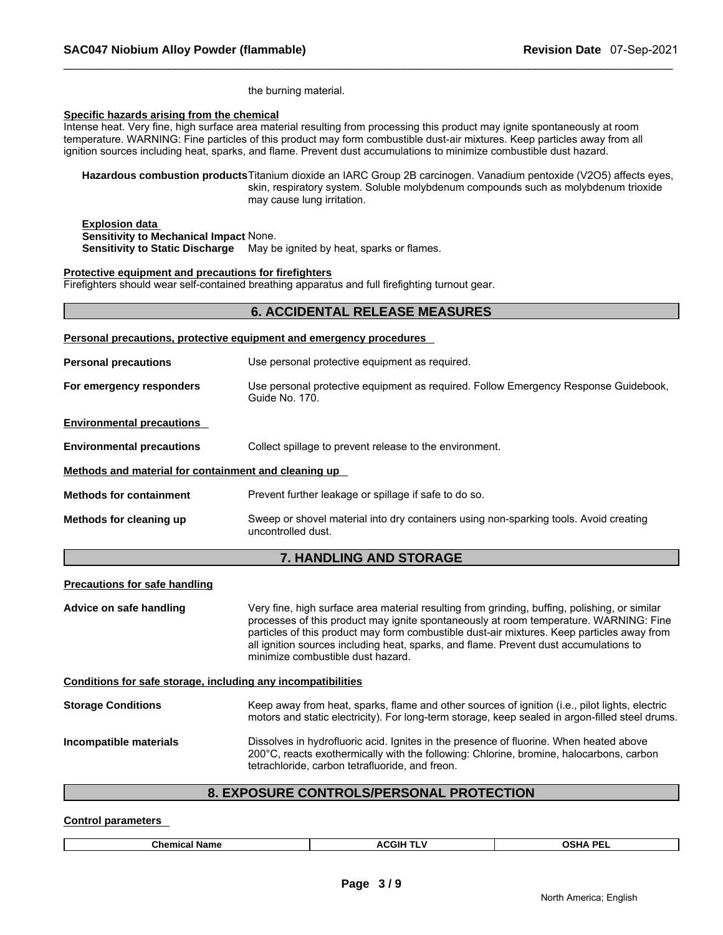the burning material.

#### **Specific hazards arising from the chemical**

Intense heat. Very fine, high surface area material resulting from processing this product may ignite spontaneously at room temperature. WARNING: Fine particles of this product may form combustible dust-air mixtures. Keep particles away from all ignition sources including heat, sparks, and flame. Prevent dust accumulations to minimize combustible dust hazard.

**Hazardous combustion products** Titanium dioxide an IARC Group 2B carcinogen. Vanadium pentoxide (V2O5) affects eyes, skin, respiratory system. Soluble molybdenum compounds such as molybdenum trioxide may cause lung irritation.

#### **Explosion data Sensitivity to Mechanical Impact** None. **Sensitivity to Static Discharge** May be ignited by heat, sparks or flames.

#### **Protective equipment and precautions for firefighters**

Firefighters should wear self-contained breathing apparatus and full firefighting turnout gear.

|                                                      | <b>6. ACCIDENTAL RELEASE MEASURES</b>                                                                       |
|------------------------------------------------------|-------------------------------------------------------------------------------------------------------------|
|                                                      | Personal precautions, protective equipment and emergency procedures                                         |
| <b>Personal precautions</b>                          | Use personal protective equipment as required.                                                              |
| For emergency responders                             | Use personal protective equipment as required. Follow Emergency Response Guidebook,<br>Guide No. 170.       |
| <b>Environmental precautions</b>                     |                                                                                                             |
| <b>Environmental precautions</b>                     | Collect spillage to prevent release to the environment.                                                     |
| Methods and material for containment and cleaning up |                                                                                                             |
| <b>Methods for containment</b>                       | Prevent further leakage or spillage if safe to do so.                                                       |
| Methods for cleaning up                              | Sweep or shovel material into dry containers using non-sparking tools. Avoid creating<br>uncontrolled dust. |
|                                                      | 7 IIANDI INA AND CTADAAF                                                                                    |

# **7. HANDLING AND STORAGE**

# **Precautions for safe handling**

**Advice on safe handling** Very fine, high surface area material resulting from grinding, buffing, polishing, or similar processes of this product may ignite spontaneously at room temperature. WARNING: Fine particles of this product may form combustible dust-air mixtures. Keep particles away from all ignition sources including heat, sparks, and flame. Prevent dust accumulations to minimize combustible dust hazard. **Conditions for safe storage, including any incompatibilities Storage Conditions** Keep away from heat, sparks, flame and other sources of ignition (i.e., pilot lights, electric motors and static electricity). For long-term storage, keep sealed in argon-filled steel drums. **Incompatible materials** Dissolves in hydrofluoric acid. Ignites in the presence of fluorine. When heated above 200°C, reacts exothermically with the following: Chlorine, bromine, halocarbons, carbon

# **8. EXPOSURE CONTROLS/PERSONAL PROTECTION**

tetrachloride, carbon tetrafluoride, and freon.

#### **Control parameters**

| Chemic<br>Name<br>л | . .<br>CGIF<br>. .<br>^'<br>$\overline{\phantom{0}}$ | <b>DEI</b><br>na<br>$\sim$ |
|---------------------|------------------------------------------------------|----------------------------|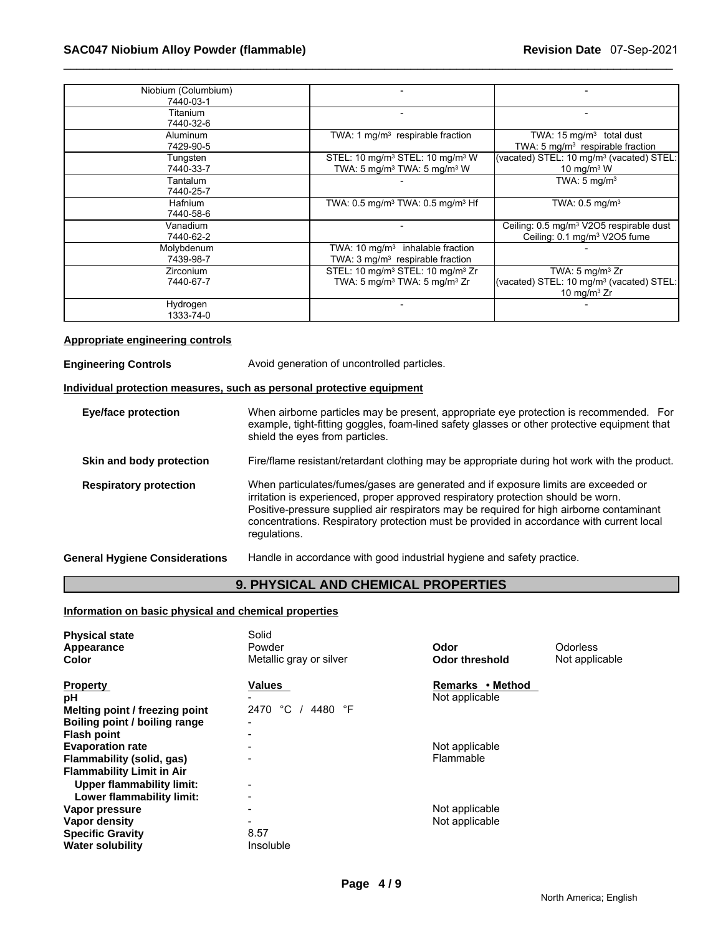| Niobium (Columbium) |                                                              |                                                      |
|---------------------|--------------------------------------------------------------|------------------------------------------------------|
| 7440-03-1           |                                                              |                                                      |
| Titanium            |                                                              |                                                      |
| 7440-32-6           |                                                              |                                                      |
| <b>Aluminum</b>     | TWA: 1 mg/m <sup>3</sup> respirable fraction                 | TWA: $15 \text{ mg/m}^3$ total dust                  |
| 7429-90-5           |                                                              | TWA: 5 mg/m <sup>3</sup> respirable fraction         |
| Tungsten            | STEL: 10 mg/m <sup>3</sup> STEL: 10 mg/m <sup>3</sup> W      | (vacated) STEL: 10 mg/m <sup>3</sup> (vacated) STEL: |
| 7440-33-7           | TWA: 5 mg/m <sup>3</sup> TWA: 5 mg/m <sup>3</sup> W          | 10 mg/m $3$ W                                        |
| Tantalum            |                                                              | TWA: $5 \text{ mg/m}^3$                              |
| 7440-25-7           |                                                              |                                                      |
| <b>Hafnium</b>      | TWA: $0.5$ mg/m <sup>3</sup> TWA: $0.5$ mg/m <sup>3</sup> Hf | TWA: $0.5 \text{ mg/m}^3$                            |
| 7440-58-6           |                                                              |                                                      |
| Vanadium            |                                                              | Ceiling: 0.5 mg/m <sup>3</sup> V2O5 respirable dust  |
| 7440-62-2           |                                                              | Ceiling: 0.1 mg/m <sup>3</sup> V2O5 fume             |
| Molybdenum          | TWA: 10 mg/m $3$ inhalable fraction                          |                                                      |
| 7439-98-7           | TWA: 3 mg/m <sup>3</sup> respirable fraction                 |                                                      |
| Zirconium           | STEL: 10 mg/m <sup>3</sup> STEL: 10 mg/m <sup>3</sup> Zr     | TWA: $5 \text{ mg/m}^3$ Zr                           |
| 7440-67-7           | TWA: 5 mg/m <sup>3</sup> TWA: 5 mg/m <sup>3</sup> Zr         | (vacated) STEL: 10 mg/m <sup>3</sup> (vacated) STEL: |
|                     |                                                              | 10 mg/m $3$ Zr                                       |
| Hydrogen            |                                                              |                                                      |
| 1333-74-0           |                                                              |                                                      |

# **Appropriate engineering controls**

| <b>Engineering Controls</b>           | Avoid generation of uncontrolled particles.                                                                                                                                                                                                                                                                                                                                     |  |  |
|---------------------------------------|---------------------------------------------------------------------------------------------------------------------------------------------------------------------------------------------------------------------------------------------------------------------------------------------------------------------------------------------------------------------------------|--|--|
|                                       | Individual protection measures, such as personal protective equipment                                                                                                                                                                                                                                                                                                           |  |  |
| <b>Eye/face protection</b>            | When airborne particles may be present, appropriate eye protection is recommended. For<br>example, tight-fitting goggles, foam-lined safety glasses or other protective equipment that<br>shield the eyes from particles.                                                                                                                                                       |  |  |
| Skin and body protection              | Fire/flame resistant/retardant clothing may be appropriate during hot work with the product.                                                                                                                                                                                                                                                                                    |  |  |
| <b>Respiratory protection</b>         | When particulates/fumes/gases are generated and if exposure limits are exceeded or<br>irritation is experienced, proper approved respiratory protection should be worn.<br>Positive-pressure supplied air respirators may be required for high airborne contaminant<br>concentrations. Respiratory protection must be provided in accordance with current local<br>regulations. |  |  |
| <b>General Hygiene Considerations</b> | Handle in accordance with good industrial hygiene and safety practice.                                                                                                                                                                                                                                                                                                          |  |  |

# **9. PHYSICAL AND CHEMICAL PROPERTIES**

# **Information on basic physical and chemical properties**

| <b>Physical state</b><br>Appearance<br><b>Color</b>                                      | Solid<br>Powder<br>Metallic gray or silver                                | Odor<br><b>Odor threshold</b>      | <b>Odorless</b><br>Not applicable |
|------------------------------------------------------------------------------------------|---------------------------------------------------------------------------|------------------------------------|-----------------------------------|
| <b>Property</b><br>рH                                                                    | <b>Values</b>                                                             | Remarks • Method<br>Not applicable |                                   |
| Melting point / freezing point<br>Boiling point / boiling range<br><b>Flash point</b>    | °C<br>4480 °F<br>2470                                                     |                                    |                                   |
| <b>Evaporation rate</b><br>Flammability (solid, gas)<br><b>Flammability Limit in Air</b> |                                                                           | Not applicable<br>Flammable        |                                   |
| Upper flammability limit:<br>Lower flammability limit:                                   | $\blacksquare$<br>$\overline{\phantom{0}}$                                |                                    |                                   |
| Vapor pressure<br>Vapor density<br><b>Specific Gravity</b><br><b>Water solubility</b>    | $\overline{\phantom{0}}$<br>$\overline{\phantom{0}}$<br>8.57<br>Insoluble | Not applicable<br>Not applicable   |                                   |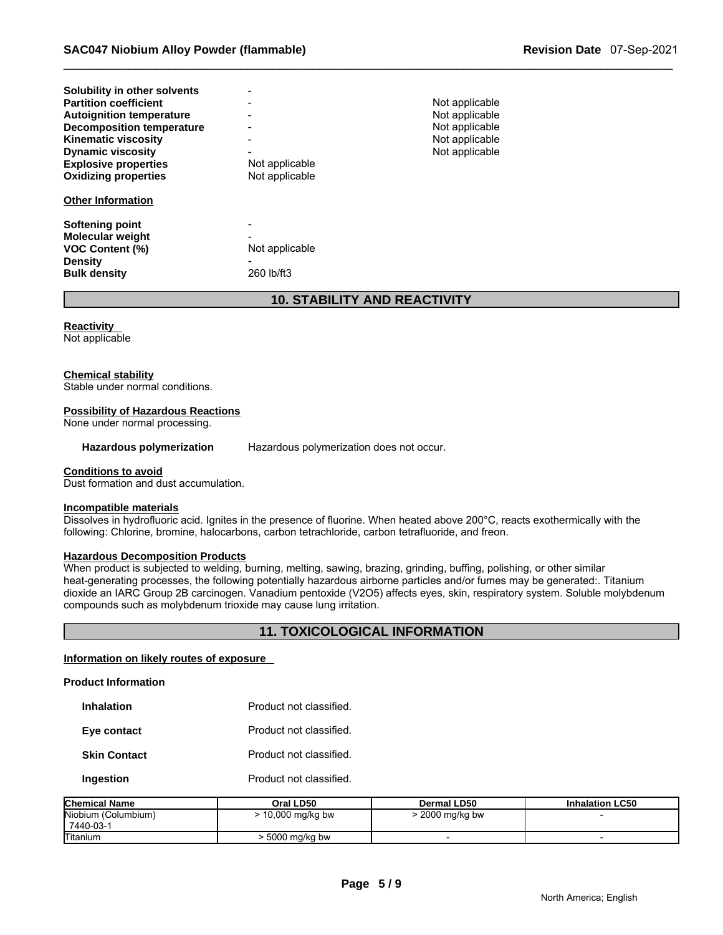| Solubility in other solvents                      | -                        |                |
|---------------------------------------------------|--------------------------|----------------|
| <b>Partition coefficient</b>                      | $\blacksquare$           | Not applicable |
| <b>Autoignition temperature</b>                   |                          | Not applicable |
| <b>Decomposition temperature</b>                  | $\overline{\phantom{a}}$ | Not applicable |
| <b>Kinematic viscosity</b>                        | $\blacksquare$           | Not applicable |
| <b>Dynamic viscosity</b>                          | $\blacksquare$           | Not applicable |
| <b>Explosive properties</b>                       | Not applicable           |                |
| <b>Oxidizing properties</b>                       | Not applicable           |                |
|                                                   |                          |                |
| <b>Other Information</b>                          |                          |                |
|                                                   | $\overline{\phantom{a}}$ |                |
| <b>Softening point</b><br><b>Molecular weight</b> |                          |                |
| <b>VOC Content (%)</b>                            | Not applicable           |                |
| <b>Density</b>                                    |                          |                |
| <b>Bulk density</b>                               | 260 lb/ft3               |                |

# **10. STABILITY AND REACTIVITY**

**Reactivity** 

Not applicable

#### **Chemical stability**

Stable under normal conditions.

#### **Possibility of Hazardous Reactions**

None under normal processing.

**Hazardous polymerization** Hazardous polymerization does not occur.

#### **Conditions to avoid**

Dust formation and dust accumulation.

#### **Incompatible materials**

Dissolves in hydrofluoric acid. Ignites in the presence of fluorine. When heated above 200°C, reacts exothermically with the following: Chlorine, bromine, halocarbons, carbon tetrachloride, carbon tetrafluoride, and freon.

#### **Hazardous Decomposition Products**

When product is subjected to welding, burning, melting, sawing, brazing, grinding, buffing, polishing, or other similar heat-generating processes, the following potentially hazardous airborne particles and/or fumes may be generated:. Titanium dioxide an IARC Group 2B carcinogen. Vanadium pentoxide (V2O5) affects eyes, skin, respiratory system. Soluble molybdenum compounds such as molybdenum trioxide may cause lung irritation.

# **11. TOXICOLOGICAL INFORMATION**

#### **Information on likely routes of exposure**

## **Product Information**

| <b>Inhalation</b>   | Product not classified. |
|---------------------|-------------------------|
| Eye contact         | Product not classified. |
| <b>Skin Contact</b> | Product not classified. |
| Ingestion           | Product not classified. |

| <b>Chemical Name</b>             | Oral LD50       | Dermal LD50     | <b>Inhalation LC50</b> |
|----------------------------------|-----------------|-----------------|------------------------|
| Niobium (Columbium)<br>7440-03-1 | 10,000 mg/kg bw | $2000$ mg/kg bw |                        |
| <b>Titanium</b>                  | 5000 ma/ka bw   |                 |                        |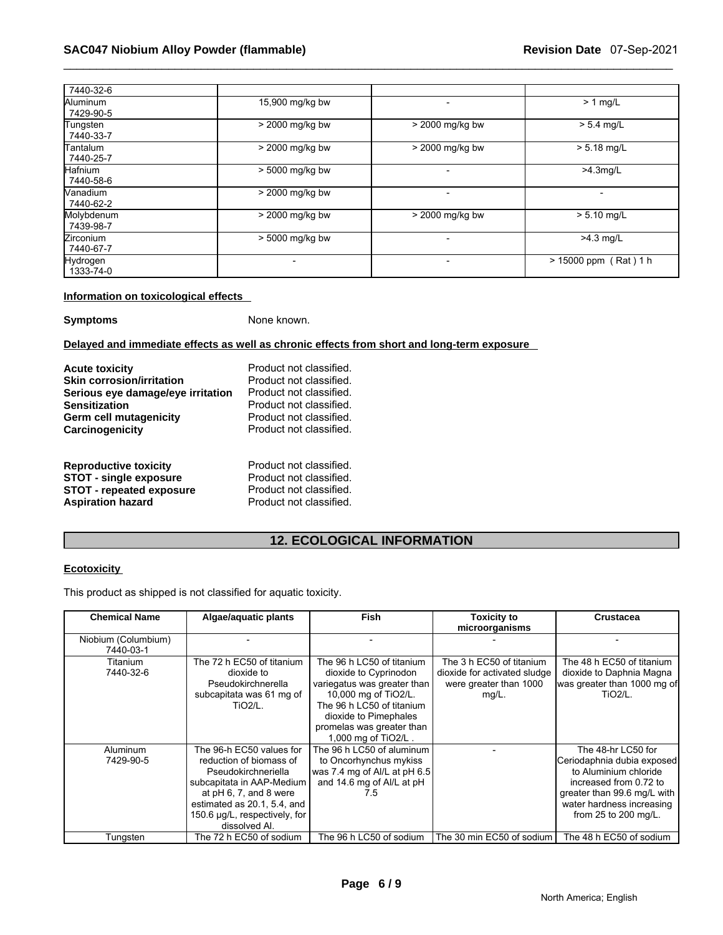| 7440-32-6                     |                 |                   |                         |
|-------------------------------|-----------------|-------------------|-------------------------|
| Aluminum<br>7429-90-5         | 15,900 mg/kg bw |                   | $> 1$ mg/L              |
| Tungsten<br>7440-33-7         | > 2000 mg/kg bw | $>$ 2000 mg/kg bw | $> 5.4$ mg/L            |
| <b>Tantalum</b><br>7440-25-7  | > 2000 mg/kg bw | > 2000 mg/kg bw   | $> 5.18$ mg/L           |
| Hafnium<br>7440-58-6          | > 5000 mg/kg bw |                   | $>4.3$ mg/L             |
| <b>Nanadium</b><br>7440-62-2  | > 2000 mg/kg bw |                   |                         |
| Molybdenum<br>7439-98-7       | > 2000 mg/kg bw | $>$ 2000 mg/kg bw | $> 5.10$ mg/L           |
| <b>Zirconium</b><br>7440-67-7 | > 5000 mg/kg bw |                   | $>4.3$ mg/L             |
| <b>Hydrogen</b><br>1333-74-0  |                 |                   | $> 15000$ ppm (Rat) 1 h |

## **Information on toxicological effects**

**Symptoms** None known.

**Delayed and immediate effects as well as chronic effects from short and long-term exposure** 

| <b>Acute toxicity</b><br><b>Skin corrosion/irritation</b><br>Serious eye damage/eye irritation<br><b>Sensitization</b><br>Germ cell mutagenicity | Product not classified.<br>Product not classified.<br>Product not classified.<br>Product not classified.<br>Product not classified.<br>Product not classified. |
|--------------------------------------------------------------------------------------------------------------------------------------------------|----------------------------------------------------------------------------------------------------------------------------------------------------------------|
| Carcinogenicity                                                                                                                                  |                                                                                                                                                                |
| <b>Reproductive toxicity</b><br><b>STOT - single exposure</b><br><b>STOT - repeated exposure</b><br><b>Aspiration hazard</b>                     | Product not classified.<br>Product not classified.<br>Product not classified.<br>Product not classified.                                                       |

# **12. ECOLOGICAL INFORMATION**

# **Ecotoxicity**

This product as shipped is not classified for aquatic toxicity.

| <b>Chemical Name</b>             | Algae/aquatic plants                                                                                                                                                                                               | Fish                                                                                                                                                                                                                | Toxicity to<br>microorganisms                                                               | <b>Crustacea</b>                                                                                                                                                                        |
|----------------------------------|--------------------------------------------------------------------------------------------------------------------------------------------------------------------------------------------------------------------|---------------------------------------------------------------------------------------------------------------------------------------------------------------------------------------------------------------------|---------------------------------------------------------------------------------------------|-----------------------------------------------------------------------------------------------------------------------------------------------------------------------------------------|
| Niobium (Columbium)<br>7440-03-1 |                                                                                                                                                                                                                    |                                                                                                                                                                                                                     |                                                                                             |                                                                                                                                                                                         |
| Titanium<br>7440-32-6            | The 72 h EC50 of titanium<br>dioxide to<br>Pseudokirchnerella<br>subcapitata was 61 mg of<br>$TiO2/L$ .                                                                                                            | The 96 h LC50 of titanium<br>dioxide to Cyprinodon<br>variegatus was greater than<br>10,000 mg of TiO2/L.<br>The 96 h LC50 of titanium<br>dioxide to Pimephales<br>promelas was greater than<br>1,000 mg of TiO2/L. | The 3 h EC50 of titanium<br>dioxide for activated sludge<br>were greater than 1000<br>mg/L. | The 48 h EC50 of titanium<br>dioxide to Daphnia Magna<br>was greater than 1000 mg of<br>TiO <sub>2</sub> /L.                                                                            |
| Aluminum<br>7429-90-5            | The 96-h EC50 values for<br>reduction of biomass of<br>Pseudokirchneriella<br>subcapitata in AAP-Medium<br>at pH 6, 7, and 8 were<br>estimated as 20.1, 5.4, and<br>150.6 µg/L, respectively, for<br>dissolved AI. | The 96 h LC50 of aluminum<br>to Oncorhynchus mykiss<br>was 7.4 mg of Al/L at pH 6.5<br>and 14.6 mg of Al/L at pH<br>7.5                                                                                             |                                                                                             | The 48-hr LC50 for<br>Ceriodaphnia dubia exposed<br>to Aluminium chloride<br>increased from 0.72 to<br>greater than 99.6 mg/L with<br>water hardness increasing<br>from 25 to 200 mg/L. |
| Tungsten                         | The 72 h EC50 of sodium                                                                                                                                                                                            | The 96 h LC50 of sodium                                                                                                                                                                                             | The 30 min EC50 of sodium                                                                   | The 48 h EC50 of sodium                                                                                                                                                                 |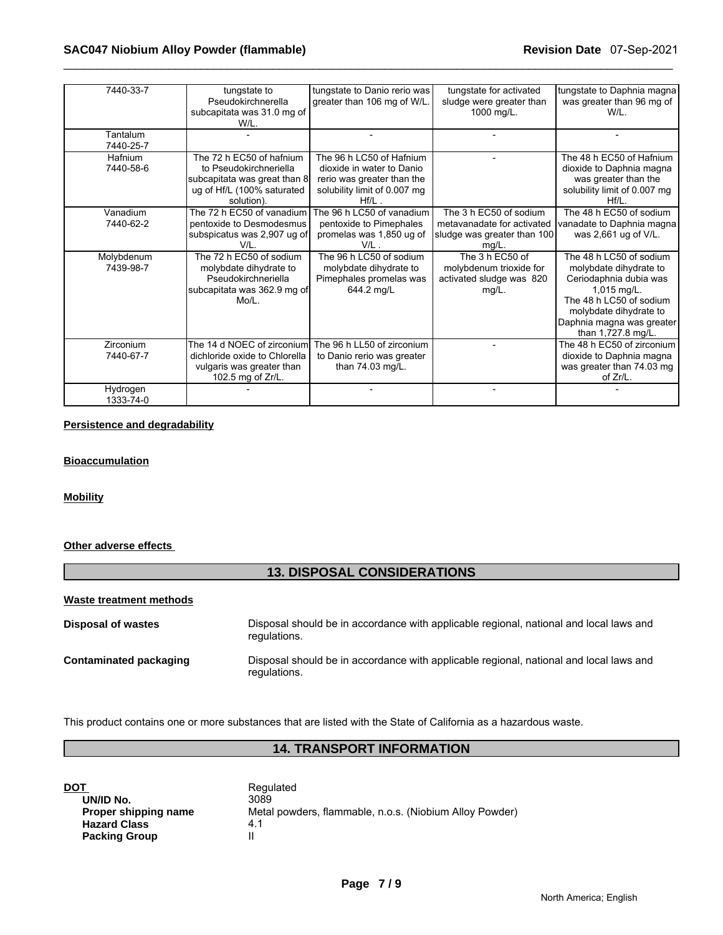| 7440-33-7  | tungstate to                  | tungstate to Danio rerio was | tungstate for activated     | tungstate to Daphnia magna   |
|------------|-------------------------------|------------------------------|-----------------------------|------------------------------|
|            | Pseudokirchnerella            | greater than 106 mg of W/L.  | sludge were greater than    | was greater than 96 mg of    |
|            | subcapitata was 31.0 mg of    |                              | 1000 mg/L.                  | W/L.                         |
|            | W/L.                          |                              |                             |                              |
| Tantalum   |                               |                              |                             |                              |
| 7440-25-7  |                               |                              |                             |                              |
| Hafnium    | The 72 h EC50 of hafnium      | The 96 h LC50 of Hafnium     |                             | The 48 h EC50 of Hafnium     |
| 7440-58-6  | to Pseudokirchneriella        | dioxide in water to Danio    |                             | dioxide to Daphnia magna     |
|            | subcapitata was great than 8  | rerio was greater than the   |                             | was greater than the         |
|            | ug of Hf/L (100% saturated    | solubility limit of 0.007 mg |                             | solubility limit of 0.007 mg |
|            | solution).                    | $Hf/L$ .                     |                             | $Hf/L$ .                     |
| Vanadium   | The 72 h EC50 of vanadium     | The 96 h LC50 of vanadium    | The 3 h EC50 of sodium      | The 48 h EC50 of sodium      |
| 7440-62-2  | pentoxide to Desmodesmus      | pentoxide to Pimephales      | metavanadate for activated  | vanadate to Daphnia magna    |
|            | subspicatus was 2,907 ug of   | promelas was 1,850 ug of     | sludge was greater than 100 | was 2,661 ug of V/L.         |
|            | V/I                           | V/L.                         | $mg/L$ .                    |                              |
| Molybdenum | The 72 h EC50 of sodium       | The 96 h LC50 of sodium      | The 3 h EC50 of             | The 48 h LC50 of sodium      |
| 7439-98-7  | molybdate dihydrate to        | molybdate dihydrate to       | molybdenum trioxide for     | molybdate dihydrate to       |
|            | Pseudokirchneriella           | Pimephales promelas was      | activated sludge was 820    | Ceriodaphnia dubia was       |
|            | subcapitata was 362.9 mg of   | 644.2 mg/L                   | $mg/L$ .                    | $1,015$ mg/L.                |
|            | $Mo/L$ .                      |                              |                             | The 48 h LC50 of sodium      |
|            |                               |                              |                             | molybdate dihydrate to       |
|            |                               |                              |                             | Daphnia magna was greater    |
|            |                               |                              |                             | than 1,727.8 mg/L.           |
| Zirconium  | The 14 d NOEC of zirconium    | The 96 h LL50 of zirconium   |                             | The 48 h EC50 of zirconium   |
| 7440-67-7  | dichloride oxide to Chlorella | to Danio rerio was greater   |                             | dioxide to Daphnia magna     |
|            | vulgaris was greater than     | than 74.03 mg/L.             |                             | was greater than 74.03 mg    |
|            | 102.5 mg of Zr/L.             |                              |                             | of Zr/L.                     |
| Hydrogen   |                               |                              |                             |                              |
| 1333-74-0  |                               |                              |                             |                              |

# **Persistence and degradability**

# **Bioaccumulation**

#### **Mobility**

# **Other adverse effects**

# **13. DISPOSAL CONSIDERATIONS**

#### **Waste treatment methods**

| <b>Disposal of wastes</b>     | Disposal should be in accordance with applicable regional, national and local laws and<br>regulations. |
|-------------------------------|--------------------------------------------------------------------------------------------------------|
| <b>Contaminated packaging</b> | Disposal should be in accordance with applicable regional, national and local laws and<br>requlations. |

This product contains one or more substances that are listed with the State of California as a hazardous waste.

# **14. TRANSPORT INFORMATION**

| DOT                  | Regulated                                               |
|----------------------|---------------------------------------------------------|
| UN/ID No.            | 3089                                                    |
| Proper shipping name | Metal powders, flammable, n.o.s. (Niobium Alloy Powder) |
| <b>Hazard Class</b>  | 4.1                                                     |
| <b>Packing Group</b> |                                                         |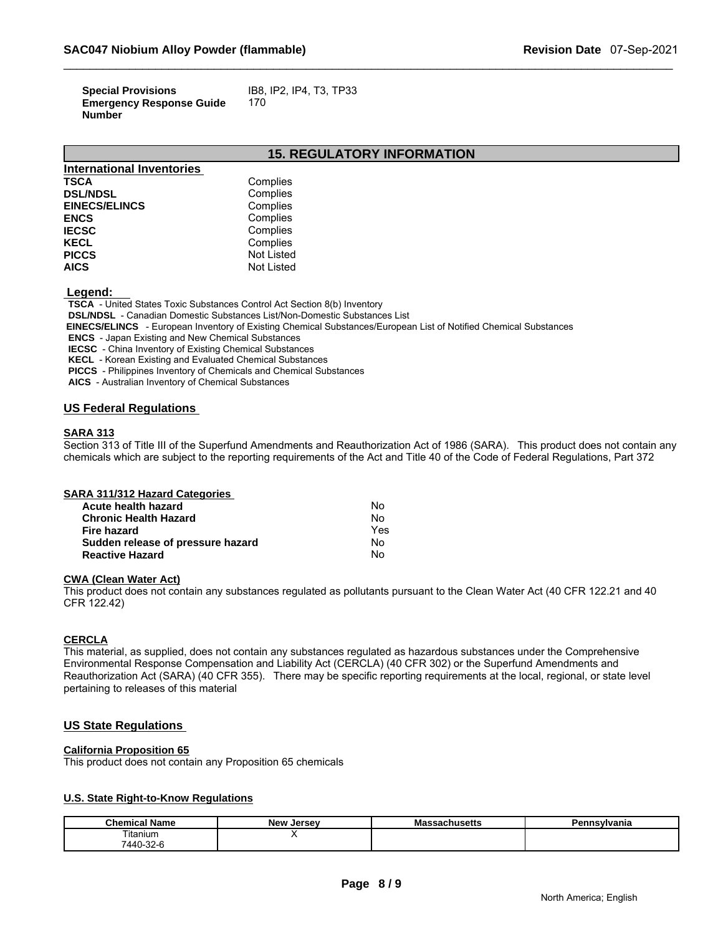| <b>Special Provisions</b>       | IB8, IP2, IP4, T3, TP33 |
|---------------------------------|-------------------------|
| <b>Emergency Response Guide</b> | 170                     |
| <b>Number</b>                   |                         |

# **15. REGULATORY INFORMATION**

| <b>International Inventories</b> |                   |
|----------------------------------|-------------------|
| <b>TSCA</b>                      | Complies          |
| <b>DSL/NDSL</b>                  | Complies          |
| <b>EINECS/ELINCS</b>             | Complies          |
| <b>ENCS</b>                      | Complies          |
| <b>IECSC</b>                     | Complies          |
| <b>KECL</b>                      | Complies          |
| <b>PICCS</b>                     | <b>Not Listed</b> |
| <b>AICS</b>                      | <b>Not Listed</b> |

 **Legend:** 

 **TSCA** - United States Toxic Substances Control Act Section 8(b) Inventory

 **DSL/NDSL** - Canadian Domestic Substances List/Non-Domestic Substances List

 **EINECS/ELINCS** - European Inventory of Existing Chemical Substances/European List of Notified Chemical Substances

 **ENCS** - Japan Existing and New Chemical Substances

 **IECSC** - China Inventory of Existing Chemical Substances

 **KECL** - Korean Existing and Evaluated Chemical Substances

 **PICCS** - Philippines Inventory of Chemicals and Chemical Substances

 **AICS** - Australian Inventory of Chemical Substances

# **US Federal Regulations**

#### **SARA 313**

Section 313 of Title III of the Superfund Amendments and Reauthorization Act of 1986 (SARA). This product does not contain any chemicals which are subject to the reporting requirements of the Act and Title 40 of the Code of Federal Regulations, Part 372

#### **SARA 311/312 Hazard Categories**

| Acute health hazard               | No  |  |
|-----------------------------------|-----|--|
| <b>Chronic Health Hazard</b>      | No  |  |
| Fire hazard                       | Yes |  |
| Sudden release of pressure hazard | No  |  |
| <b>Reactive Hazard</b>            | No  |  |

#### **CWA (Clean Water Act)**

This product does not contain any substances regulated as pollutants pursuant to the Clean Water Act (40 CFR 122.21 and 40 CFR 122.42)

# **CERCLA**

This material, as supplied, does not contain any substances regulated as hazardous substances under the Comprehensive Environmental Response Compensation and Liability Act (CERCLA) (40 CFR 302) or the Superfund Amendments and Reauthorization Act (SARA) (40 CFR 355). There may be specific reporting requirements at the local, regional, or state level pertaining to releases of this material

# **US State Regulations**

#### **California Proposition 65**

This product does not contain any Proposition 65 chemicals

# **U.S. State Right-to-Know Regulations**

| . .<br>Chemical<br>Name    | New<br>. Jersev | ма<br>saunuseus | `nsvlvania |
|----------------------------|-----------------|-----------------|------------|
| ïtanium                    |                 |                 |            |
| 7440-32-c<br>$\sim$ $\sim$ |                 |                 |            |